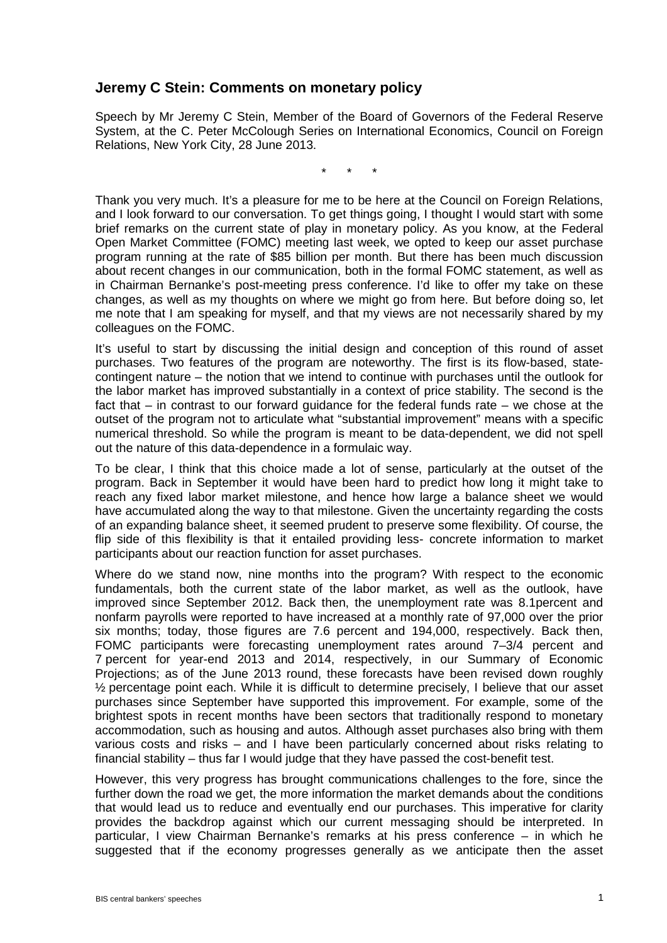## **Jeremy C Stein: Comments on monetary policy**

Speech by Mr Jeremy C Stein, Member of the Board of Governors of the Federal Reserve System, at the C. Peter McColough Series on International Economics, Council on Foreign Relations, New York City, 28 June 2013.

\* \* \*

Thank you very much. It's a pleasure for me to be here at the Council on Foreign Relations, and I look forward to our conversation. To get things going, I thought I would start with some brief remarks on the current state of play in monetary policy. As you know, at the Federal Open Market Committee (FOMC) meeting last week, we opted to keep our asset purchase program running at the rate of \$85 billion per month. But there has been much discussion about recent changes in our communication, both in the formal FOMC statement, as well as in Chairman Bernanke's post-meeting press conference. I'd like to offer my take on these changes, as well as my thoughts on where we might go from here. But before doing so, let me note that I am speaking for myself, and that my views are not necessarily shared by my colleagues on the FOMC.

It's useful to start by discussing the initial design and conception of this round of asset purchases. Two features of the program are noteworthy. The first is its flow-based, statecontingent nature – the notion that we intend to continue with purchases until the outlook for the labor market has improved substantially in a context of price stability. The second is the fact that – in contrast to our forward guidance for the federal funds rate – we chose at the outset of the program not to articulate what "substantial improvement" means with a specific numerical threshold. So while the program is meant to be data-dependent, we did not spell out the nature of this data-dependence in a formulaic way.

To be clear, I think that this choice made a lot of sense, particularly at the outset of the program. Back in September it would have been hard to predict how long it might take to reach any fixed labor market milestone, and hence how large a balance sheet we would have accumulated along the way to that milestone. Given the uncertainty regarding the costs of an expanding balance sheet, it seemed prudent to preserve some flexibility. Of course, the flip side of this flexibility is that it entailed providing less- concrete information to market participants about our reaction function for asset purchases.

Where do we stand now, nine months into the program? With respect to the economic fundamentals, both the current state of the labor market, as well as the outlook, have improved since September 2012. Back then, the unemployment rate was 8.1percent and nonfarm payrolls were reported to have increased at a monthly rate of 97,000 over the prior six months; today, those figures are 7.6 percent and 194,000, respectively. Back then, FOMC participants were forecasting unemployment rates around 7–3/4 percent and 7 percent for year-end 2013 and 2014, respectively, in our Summary of Economic Projections; as of the June 2013 round, these forecasts have been revised down roughly  $\frac{1}{2}$  percentage point each. While it is difficult to determine precisely, I believe that our asset purchases since September have supported this improvement. For example, some of the brightest spots in recent months have been sectors that traditionally respond to monetary accommodation, such as housing and autos. Although asset purchases also bring with them various costs and risks – and I have been particularly concerned about risks relating to financial stability – thus far I would judge that they have passed the cost-benefit test.

However, this very progress has brought communications challenges to the fore, since the further down the road we get, the more information the market demands about the conditions that would lead us to reduce and eventually end our purchases. This imperative for clarity provides the backdrop against which our current messaging should be interpreted. In particular, I view Chairman Bernanke's remarks at his press conference – in which he suggested that if the economy progresses generally as we anticipate then the asset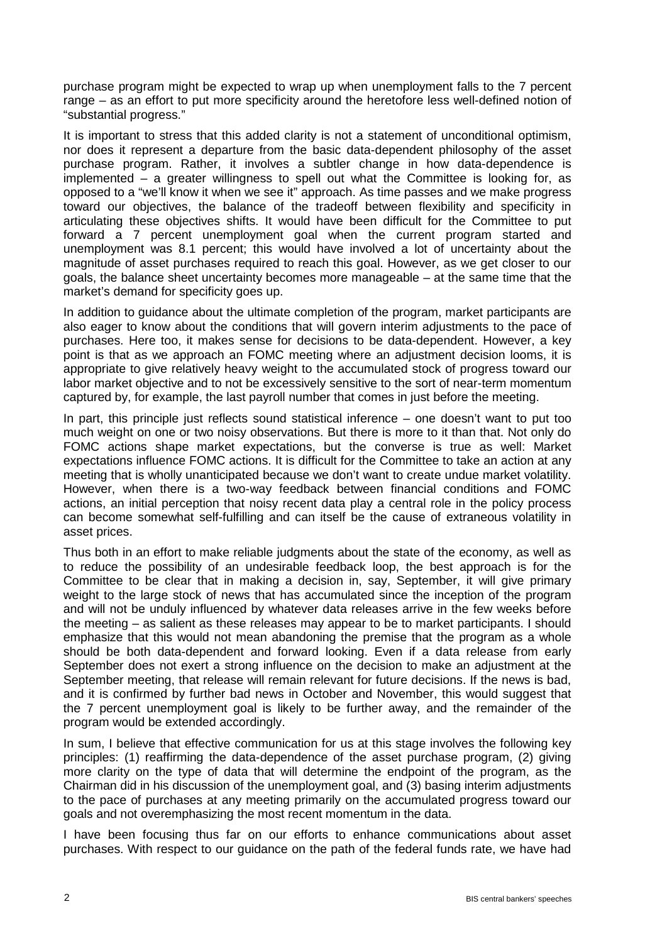purchase program might be expected to wrap up when unemployment falls to the 7 percent range – as an effort to put more specificity around the heretofore less well-defined notion of "substantial progress."

It is important to stress that this added clarity is not a statement of unconditional optimism, nor does it represent a departure from the basic data-dependent philosophy of the asset purchase program. Rather, it involves a subtler change in how data-dependence is implemented – a greater willingness to spell out what the Committee is looking for, as opposed to a "we'll know it when we see it" approach. As time passes and we make progress toward our objectives, the balance of the tradeoff between flexibility and specificity in articulating these objectives shifts. It would have been difficult for the Committee to put forward a 7 percent unemployment goal when the current program started and unemployment was 8.1 percent; this would have involved a lot of uncertainty about the magnitude of asset purchases required to reach this goal. However, as we get closer to our goals, the balance sheet uncertainty becomes more manageable – at the same time that the market's demand for specificity goes up.

In addition to guidance about the ultimate completion of the program, market participants are also eager to know about the conditions that will govern interim adjustments to the pace of purchases. Here too, it makes sense for decisions to be data-dependent. However, a key point is that as we approach an FOMC meeting where an adjustment decision looms, it is appropriate to give relatively heavy weight to the accumulated stock of progress toward our labor market objective and to not be excessively sensitive to the sort of near-term momentum captured by, for example, the last payroll number that comes in just before the meeting.

In part, this principle just reflects sound statistical inference – one doesn't want to put too much weight on one or two noisy observations. But there is more to it than that. Not only do FOMC actions shape market expectations, but the converse is true as well: Market expectations influence FOMC actions. It is difficult for the Committee to take an action at any meeting that is wholly unanticipated because we don't want to create undue market volatility. However, when there is a two-way feedback between financial conditions and FOMC actions, an initial perception that noisy recent data play a central role in the policy process can become somewhat self-fulfilling and can itself be the cause of extraneous volatility in asset prices.

Thus both in an effort to make reliable judgments about the state of the economy, as well as to reduce the possibility of an undesirable feedback loop, the best approach is for the Committee to be clear that in making a decision in, say, September, it will give primary weight to the large stock of news that has accumulated since the inception of the program and will not be unduly influenced by whatever data releases arrive in the few weeks before the meeting – as salient as these releases may appear to be to market participants. I should emphasize that this would not mean abandoning the premise that the program as a whole should be both data-dependent and forward looking. Even if a data release from early September does not exert a strong influence on the decision to make an adjustment at the September meeting, that release will remain relevant for future decisions. If the news is bad, and it is confirmed by further bad news in October and November, this would suggest that the 7 percent unemployment goal is likely to be further away, and the remainder of the program would be extended accordingly.

In sum, I believe that effective communication for us at this stage involves the following key principles: (1) reaffirming the data-dependence of the asset purchase program, (2) giving more clarity on the type of data that will determine the endpoint of the program, as the Chairman did in his discussion of the unemployment goal, and (3) basing interim adjustments to the pace of purchases at any meeting primarily on the accumulated progress toward our goals and not overemphasizing the most recent momentum in the data.

I have been focusing thus far on our efforts to enhance communications about asset purchases. With respect to our guidance on the path of the federal funds rate, we have had